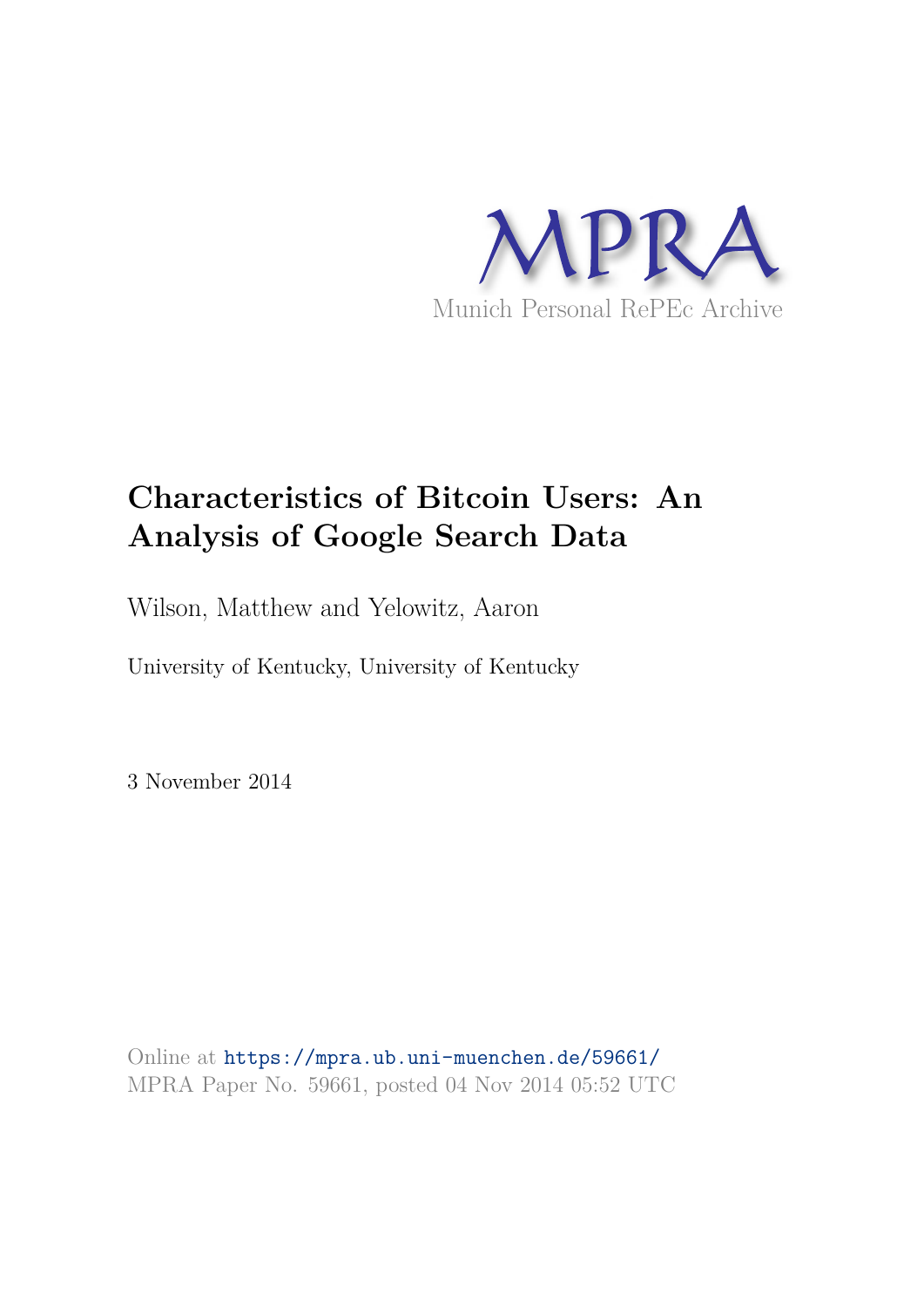

# **Characteristics of Bitcoin Users: An Analysis of Google Search Data**

Wilson, Matthew and Yelowitz, Aaron

University of Kentucky, University of Kentucky

3 November 2014

Online at https://mpra.ub.uni-muenchen.de/59661/ MPRA Paper No. 59661, posted 04 Nov 2014 05:52 UTC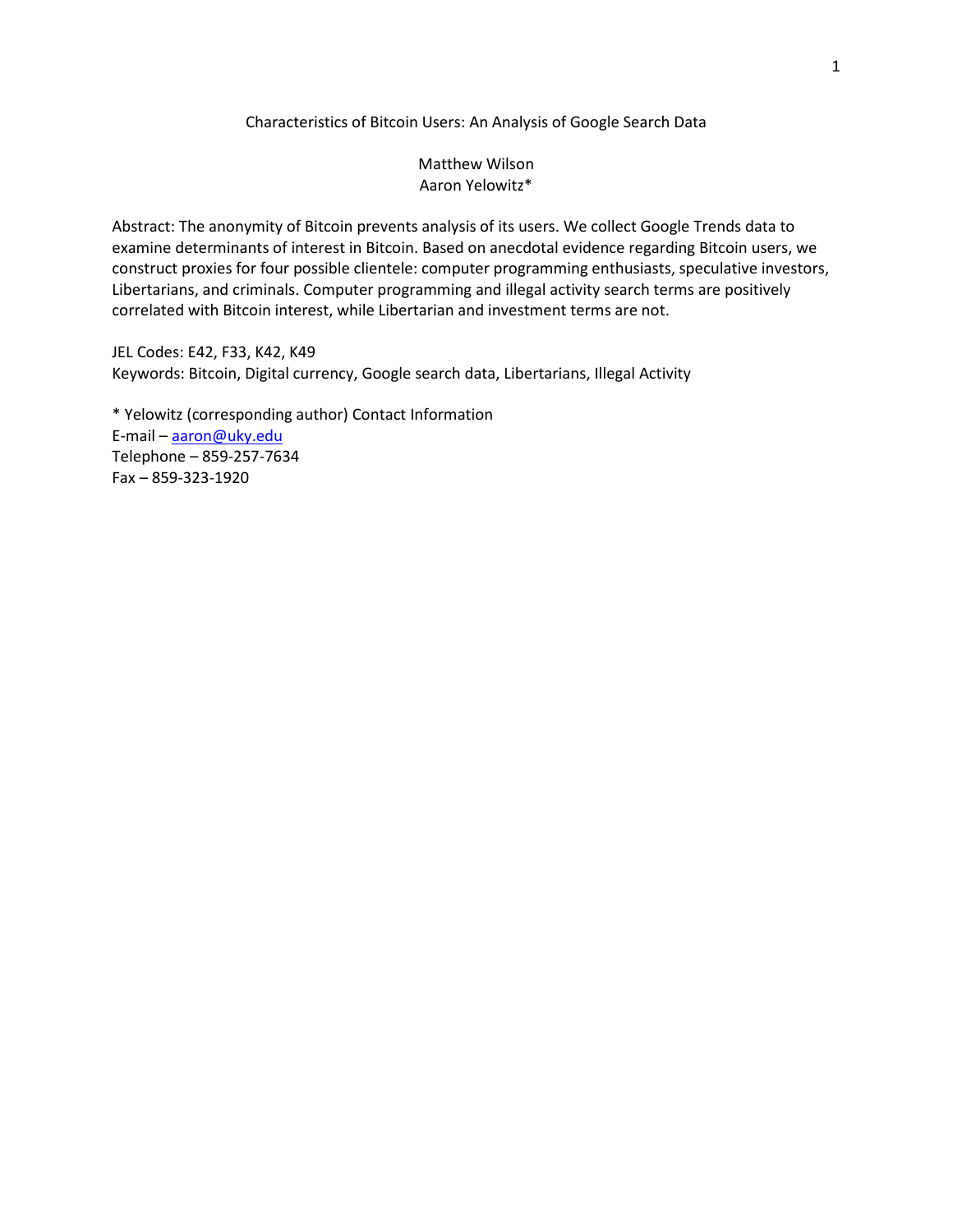## Characteristics of Bitcoin Users: An Analysis of Google Search Data

# Matthew Wilson Aaron Yelowitz\*

Abstract: The anonymity of Bitcoin prevents analysis of its users. We collect Google Trends data to examine determinants of interest in Bitcoin. Based on anecdotal evidence regarding Bitcoin users, we construct proxies for four possible clientele: computer programming enthusiasts, speculative investors, Libertarians, and criminals. Computer programming and illegal activity search terms are positively correlated with Bitcoin interest, while Libertarian and investment terms are not.

JEL Codes: E42, F33, K42, K49 Keywords: Bitcoin, Digital currency, Google search data, Libertarians, Illegal Activity

\* Yelowitz (corresponding author) Contact Information E-mail - aaron@uky.edu Telephone – 859-257-7634 Fax – 859-323-1920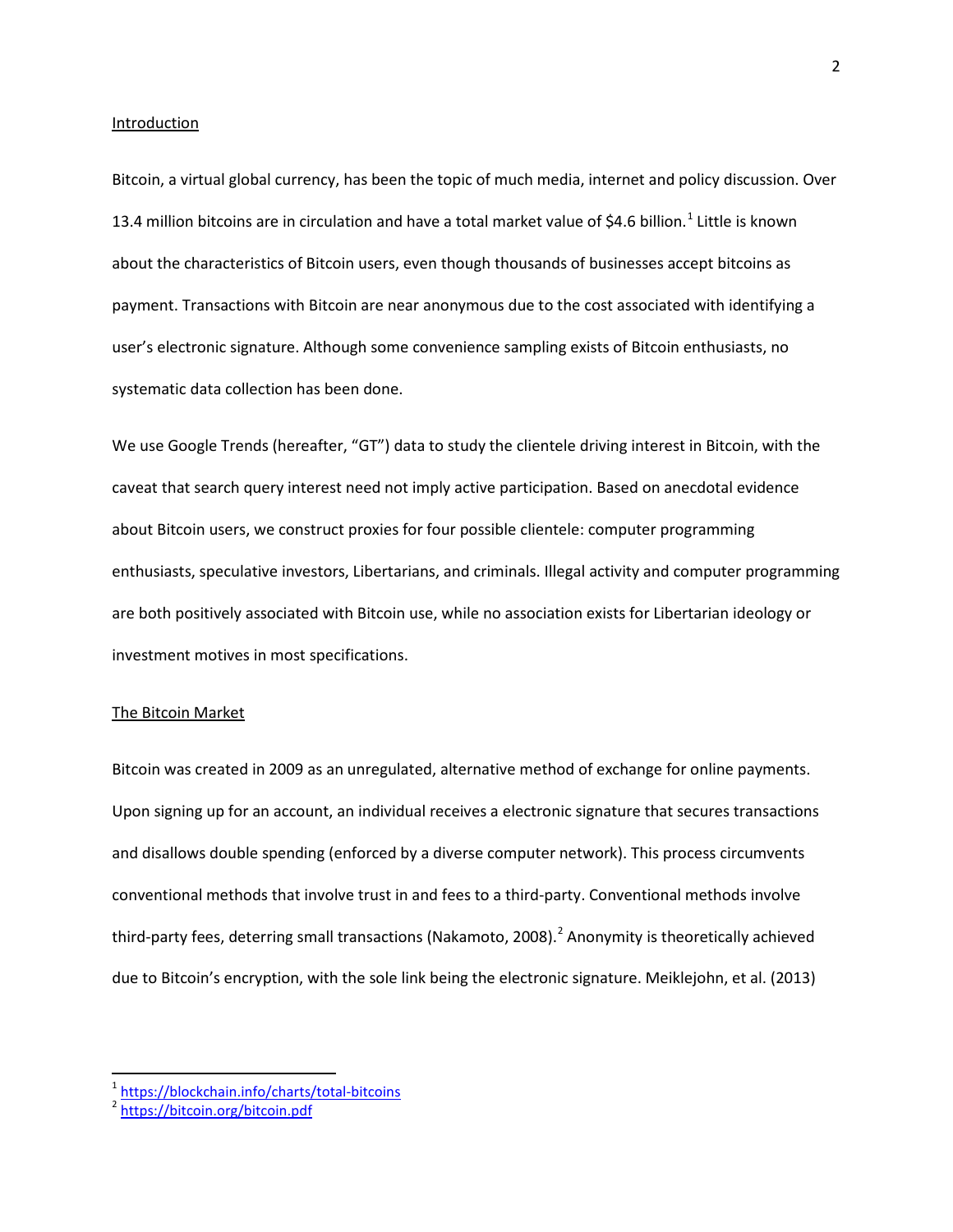#### Introduction

Bitcoin, a virtual global currency, has been the topic of much media, internet and policy discussion. Over [1](#page-2-0)3.4 million bitcoins are in circulation and have a total market value of \$4.6 billion.<sup>1</sup> Little is known about the characteristics of Bitcoin users, even though thousands of businesses accept bitcoins as payment. Transactions with Bitcoin are near anonymous due to the cost associated with identifying a user's electronic signature. Although some convenience sampling exists of Bitcoin enthusiasts, no systematic data collection has been done.

We use Google Trends (hereafter, "GT") data to study the clientele driving interest in Bitcoin, with the caveat that search query interest need not imply active participation. Based on anecdotal evidence about Bitcoin users, we construct proxies for four possible clientele: computer programming enthusiasts, speculative investors, Libertarians, and criminals. Illegal activity and computer programming are both positively associated with Bitcoin use, while no association exists for Libertarian ideology or investment motives in most specifications.

## The Bitcoin Market

Bitcoin was created in 2009 as an unregulated, alternative method of exchange for online payments. Upon signing up for an account, an individual receives a electronic signature that secures transactions and disallows double spending (enforced by a diverse computer network). This process circumvents conventional methods that involve trust in and fees to a third-party. Conventional methods involve third-party fees, deterring small transactions (Nakamoto, [2](#page-2-1)008).<sup>2</sup> Anonymity is theoretically achieved due to Bitcoin's encryption, with the sole link being the electronic signature. Meiklejohn, et al. (2013)

<span id="page-2-0"></span><sup>1&</sup>lt;br>
https://blockchain.info/charts/total-bitcoins<br>
<sup>2</sup> https://bitcoin.org/bitcoin.pdf

<span id="page-2-1"></span>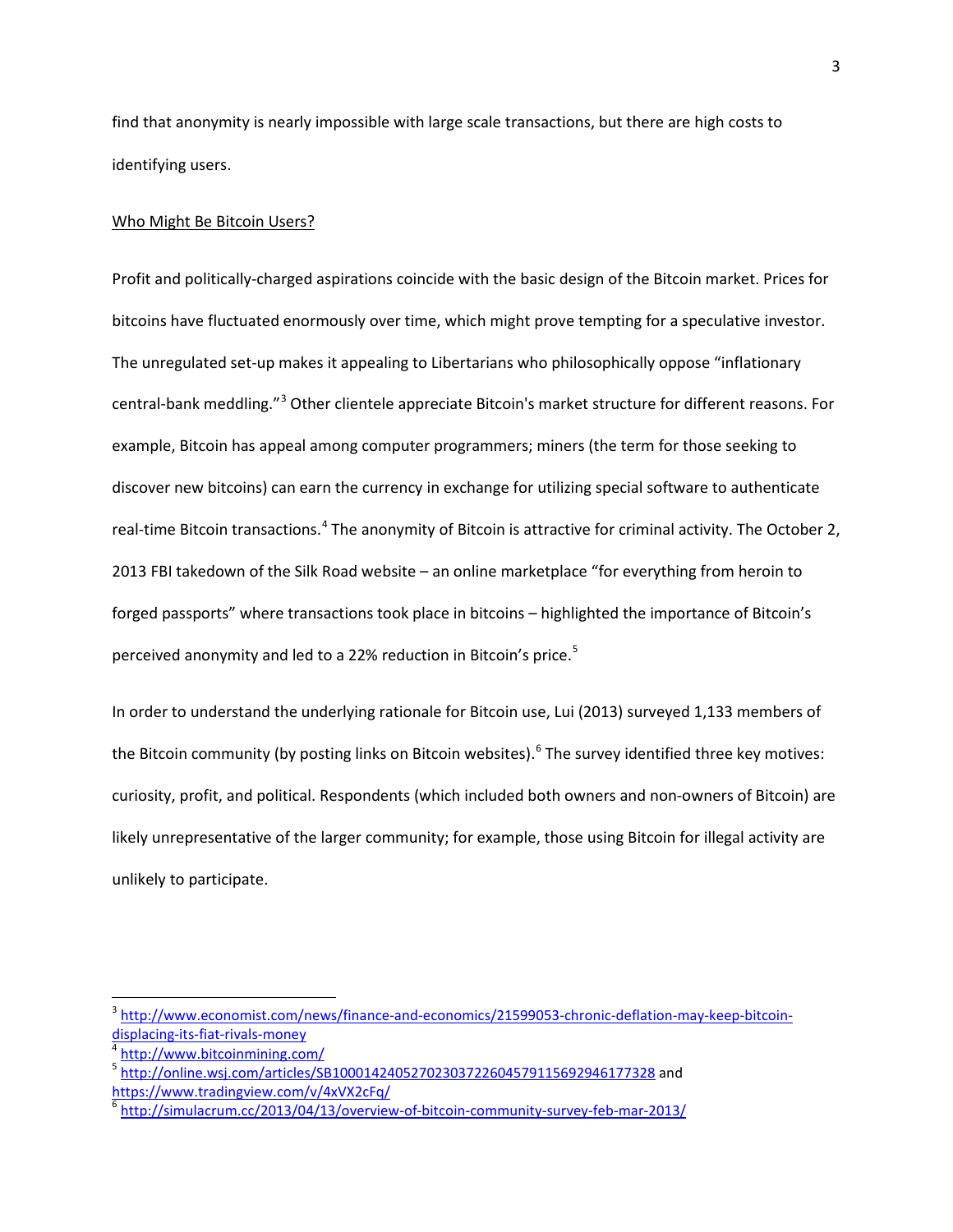find that anonymity is nearly impossible with large scale transactions, but there are high costs to identifying users.

## Who Might Be Bitcoin Users?

Profit and politically-charged aspirations coincide with the basic design of the Bitcoin market. Prices for bitcoins have fluctuated enormously over time, which might prove tempting for a speculative investor. The unregulated set-up makes it appealing to Libertarians who philosophically oppose "inflationary central-bank meddling."[3](#page-3-0) Other clientele appreciate Bitcoin's market structure for different reasons. For example, Bitcoin has appeal among computer programmers; miners (the term for those seeking to discover new bitcoins) can earn the currency in exchange for utilizing special software to authenticate real-time Bitcoin transactions.<sup>[4](#page-3-1)</sup> The anonymity of Bitcoin is attractive for criminal activity. The October 2, 2013 FBI takedown of the Silk Road website – an online marketplace "for everything from heroin to forged passports" where transactions took place in bitcoins – highlighted the importance of Bitcoin's perceived anonymity and led to a 22% reduction in Bitcoin's price.<sup>[5](#page-3-2)</sup>

In order to understand the underlying rationale for Bitcoin use, Lui (2013) surveyed 1,133 members of the Bitcoin community (by posting links on Bitcoin websites).<sup>[6](#page-3-3)</sup> The survey identified three key motives: curiosity, profit, and political. Respondents (which included both owners and non-owners of Bitcoin) are likely unrepresentative of the larger community; for example, those using Bitcoin for illegal activity are unlikely to participate.

-

<span id="page-3-0"></span><sup>&</sup>lt;sup>3</sup> http://www.economist.com/news/finance-and-economics/21599053-chronic-deflation-may-keep-bitcoindisplacing-its-fiat-rivals-money

<span id="page-3-1"></span><sup>4</sup> http://www.bitcoinmining.com/

<span id="page-3-2"></span><sup>&</sup>lt;sup>5</sup> http://online.wsj.com/articles/SB10001424052702303722604579115692946177328 and https://www.tradingview.com/v/4xVX2cFq/

<span id="page-3-3"></span><sup>&</sup>lt;sup>6</sup> http://simulacrum.cc/2013/04/13/overview-of-bitcoin-community-survey-feb-mar-2013/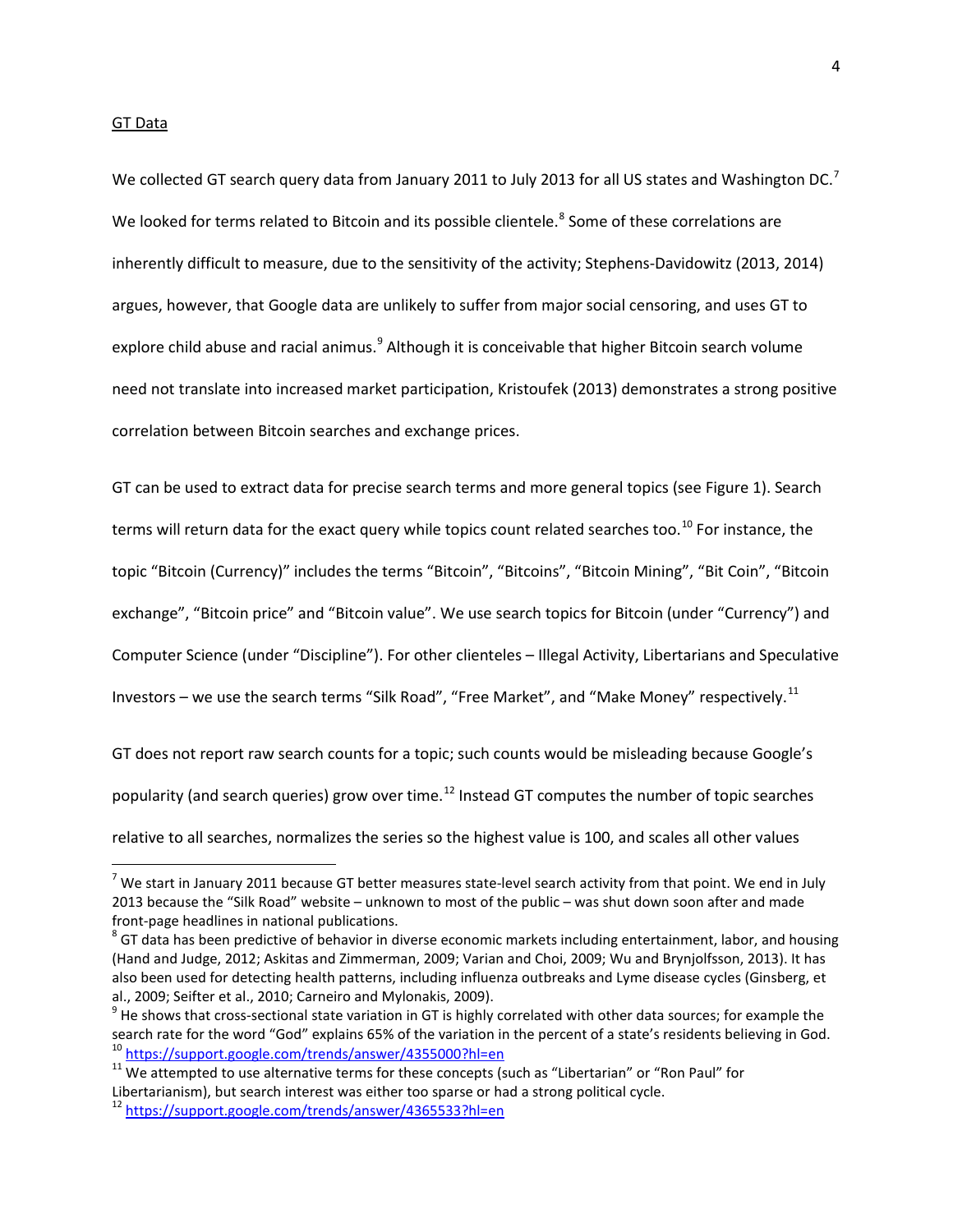#### GT Data

-

We collected GT search query data from January 2011 to July 2013 for all US states and Washington DC.<sup>[7](#page-4-0)</sup> We looked for terms related to Bitcoin and its possible clientele.<sup>[8](#page-4-1)</sup> Some of these correlations are inherently difficult to measure, due to the sensitivity of the activity; Stephens-Davidowitz (2013, 2014) argues, however, that Google data are unlikely to suffer from major social censoring, and uses GT to explore child abuse and racial animus.<sup>[9](#page-4-2)</sup> Although it is conceivable that higher Bitcoin search volume need not translate into increased market participation, Kristoufek (2013) demonstrates a strong positive correlation between Bitcoin searches and exchange prices.

GT can be used to extract data for precise search terms and more general topics (see Figure 1). Search terms will return data for the exact query while topics count related searches too.<sup>[10](#page-4-3)</sup> For instance, the topic "Bitcoin (Currency)" includes the terms "Bitcoin", "Bitcoins", "Bitcoin Mining", "Bit Coin", "Bitcoin exchange", "Bitcoin price" and "Bitcoin value". We use search topics for Bitcoin (under "Currency") and Computer Science (under "Discipline"). For other clienteles – Illegal Activity, Libertarians and Speculative Investors – we use the search terms "Silk Road", "Free Market", and "Make Money" respectively.<sup>[11](#page-4-4)</sup>

GT does not report raw search counts for a topic; such counts would be misleading because Google's popularity (and search queries) grow over time.<sup>[12](#page-4-5)</sup> Instead GT computes the number of topic searches relative to all searches, normalizes the series so the highest value is 100, and scales all other values

<span id="page-4-0"></span> $<sup>7</sup>$  We start in January 2011 because GT better measures state-level search activity from that point. We end in July</sup> 2013 because the "Silk Road" website – unknown to most of the public – was shut down soon after and made front-page headlines in national publications.

<span id="page-4-1"></span> $^8$  GT data has been predictive of behavior in diverse economic markets including entertainment, labor, and housing (Hand and Judge, 2012; Askitas and Zimmerman, 2009; Varian and Choi, 2009; Wu and Brynjolfsson, 2013). It has also been used for detecting health patterns, including influenza outbreaks and Lyme disease cycles (Ginsberg, et al., 2009; Seifter et al., 2010; Carneiro and Mylonakis, 2009).

<span id="page-4-2"></span> $9$  He shows that cross-sectional state variation in GT is highly correlated with other data sources; for example the search rate for the word "God" explains 65% of the variation in the percent of a state's residents believing in God. <sup>10</sup> https://support.google.com/trends/answer/4355000?hl=en

<span id="page-4-4"></span><span id="page-4-3"></span> $11$  We attempted to use alternative terms for these concepts (such as "Libertarian" or "Ron Paul" for Libertarianism), but search interest was either too sparse or had a strong political cycle.

<span id="page-4-5"></span><sup>&</sup>lt;sup>12</sup> https://support.google.com/trends/answer/4365533?hl=en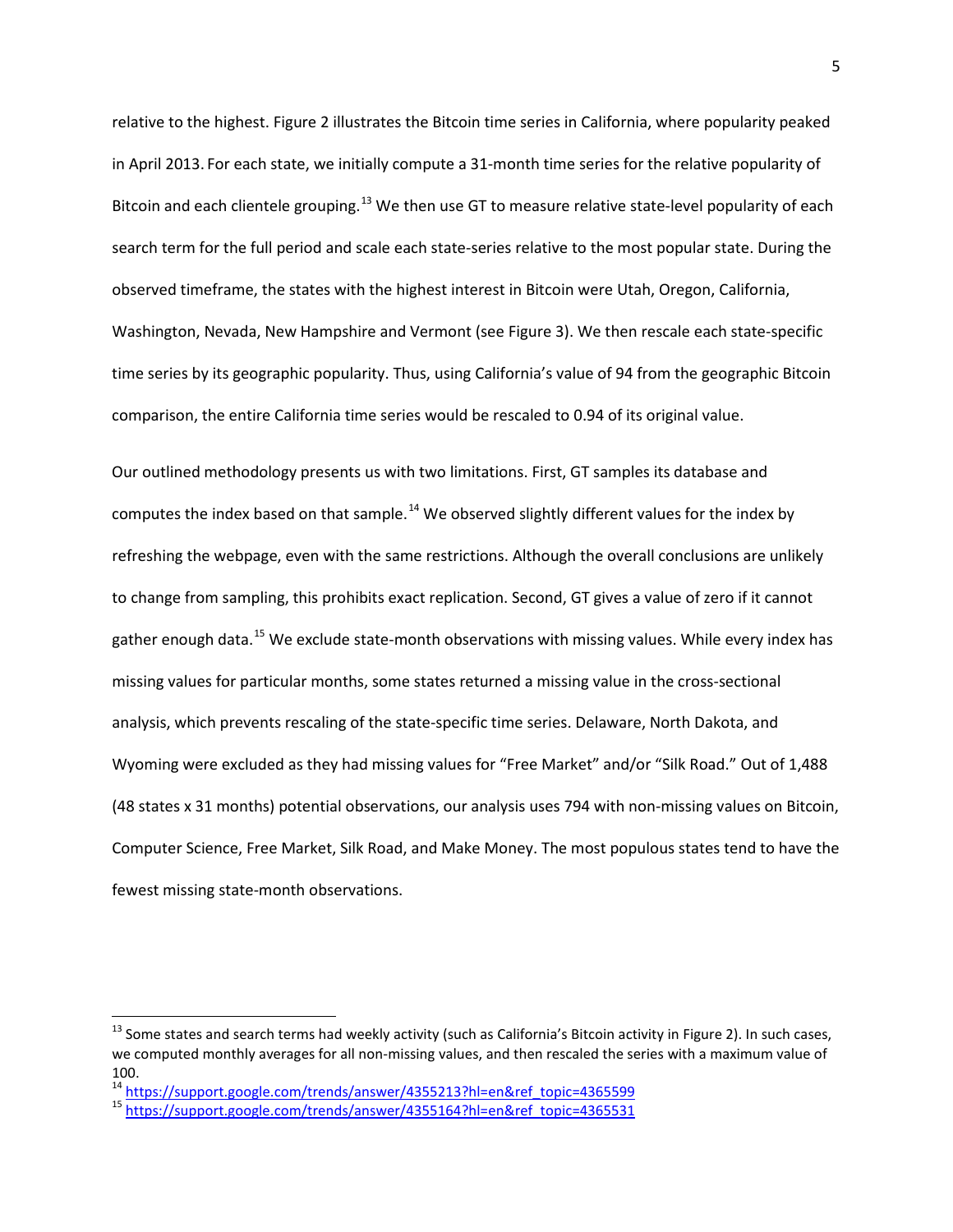relative to the highest. Figure 2 illustrates the Bitcoin time series in California, where popularity peaked in April 2013. For each state, we initially compute a 31-month time series for the relative popularity of Bitcoin and each clientele grouping.<sup>[13](#page-5-0)</sup> We then use GT to measure relative state-level popularity of each search term for the full period and scale each state-series relative to the most popular state. During the observed timeframe, the states with the highest interest in Bitcoin were Utah, Oregon, California, Washington, Nevada, New Hampshire and Vermont (see Figure 3). We then rescale each state-specific time series by its geographic popularity. Thus, using California's value of 94 from the geographic Bitcoin comparison, the entire California time series would be rescaled to 0.94 of its original value.

Our outlined methodology presents us with two limitations. First, GT samples its database and computes the index based on that sample.<sup>[14](#page-5-1)</sup> We observed slightly different values for the index by refreshing the webpage, even with the same restrictions. Although the overall conclusions are unlikely to change from sampling, this prohibits exact replication. Second, GT gives a value of zero if it cannot gather enough data.<sup>[15](#page-5-2)</sup> We exclude state-month observations with missing values. While every index has missing values for particular months, some states returned a missing value in the cross-sectional analysis, which prevents rescaling of the state-specific time series. Delaware, North Dakota, and Wyoming were excluded as they had missing values for "Free Market" and/or "Silk Road." Out of 1,488 (48 states x 31 months) potential observations, our analysis uses 794 with non-missing values on Bitcoin, Computer Science, Free Market, Silk Road, and Make Money. The most populous states tend to have the fewest missing state-month observations.

 $\overline{a}$ 

<span id="page-5-0"></span><sup>&</sup>lt;sup>13</sup> Some states and search terms had weekly activity (such as California's Bitcoin activity in Figure 2). In such cases, we computed monthly averages for all non-missing values, and then rescaled the series with a maximum value of 100.

<span id="page-5-1"></span><sup>&</sup>lt;sup>14</sup> https://support.google.com/trends/answer/4355213?hl=en&ref\_topic=4365599

<span id="page-5-2"></span><sup>15</sup> https://support.google.com/trends/answer/4355164?hl=en&ref\_topic=4365531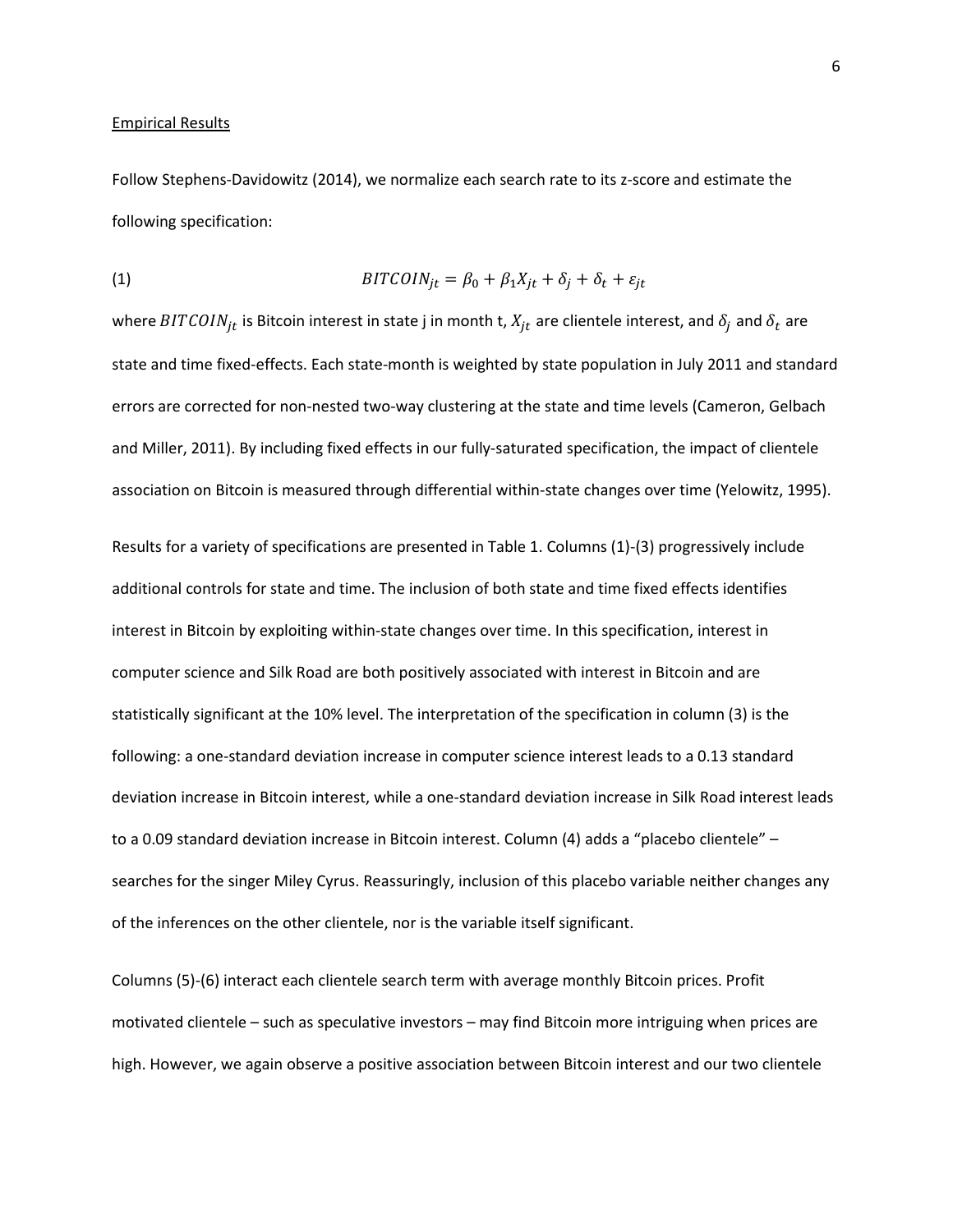#### Empirical Results

Follow Stephens-Davidowitz (2014), we normalize each search rate to its z-score and estimate the following specification:

(1) 
$$
BITCOIN_{jt} = \beta_0 + \beta_1 X_{jt} + \delta_j + \delta_t + \varepsilon_{jt}
$$

where BITCOIN<sub>jt</sub> is Bitcoin interest in state j in month t,  $X_{jt}$  are clientele interest, and  $\delta_i$  and  $\delta_t$  are state and time fixed-effects. Each state-month is weighted by state population in July 2011 and standard errors are corrected for non-nested two-way clustering at the state and time levels (Cameron, Gelbach and Miller, 2011). By including fixed effects in our fully-saturated specification, the impact of clientele association on Bitcoin is measured through differential within-state changes over time (Yelowitz, 1995).

Results for a variety of specifications are presented in Table 1. Columns (1)-(3) progressively include additional controls for state and time. The inclusion of both state and time fixed effects identifies interest in Bitcoin by exploiting within-state changes over time. In this specification, interest in computer science and Silk Road are both positively associated with interest in Bitcoin and are statistically significant at the 10% level. The interpretation of the specification in column (3) is the following: a one-standard deviation increase in computer science interest leads to a 0.13 standard deviation increase in Bitcoin interest, while a one-standard deviation increase in Silk Road interest leads to a 0.09 standard deviation increase in Bitcoin interest. Column (4) adds a "placebo clientele" – searches for the singer Miley Cyrus. Reassuringly, inclusion of this placebo variable neither changes any of the inferences on the other clientele, nor is the variable itself significant.

Columns (5)-(6) interact each clientele search term with average monthly Bitcoin prices. Profit motivated clientele – such as speculative investors – may find Bitcoin more intriguing when prices are high. However, we again observe a positive association between Bitcoin interest and our two clientele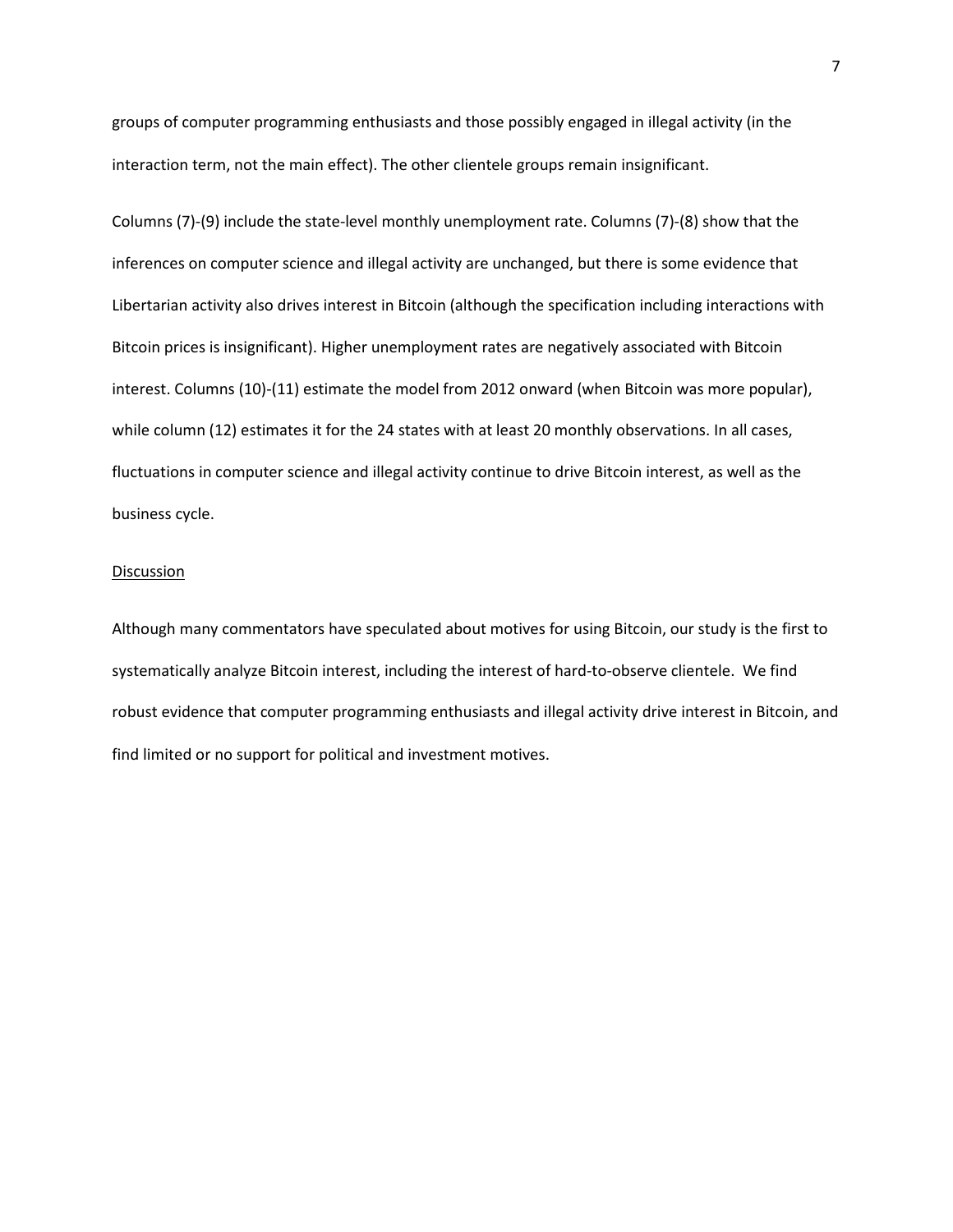groups of computer programming enthusiasts and those possibly engaged in illegal activity (in the interaction term, not the main effect). The other clientele groups remain insignificant.

Columns (7)-(9) include the state-level monthly unemployment rate. Columns (7)-(8) show that the inferences on computer science and illegal activity are unchanged, but there is some evidence that Libertarian activity also drives interest in Bitcoin (although the specification including interactions with Bitcoin prices is insignificant). Higher unemployment rates are negatively associated with Bitcoin interest. Columns (10)-(11) estimate the model from 2012 onward (when Bitcoin was more popular), while column (12) estimates it for the 24 states with at least 20 monthly observations. In all cases, fluctuations in computer science and illegal activity continue to drive Bitcoin interest, as well as the business cycle.

## **Discussion**

Although many commentators have speculated about motives for using Bitcoin, our study is the first to systematically analyze Bitcoin interest, including the interest of hard-to-observe clientele. We find robust evidence that computer programming enthusiasts and illegal activity drive interest in Bitcoin, and find limited or no support for political and investment motives.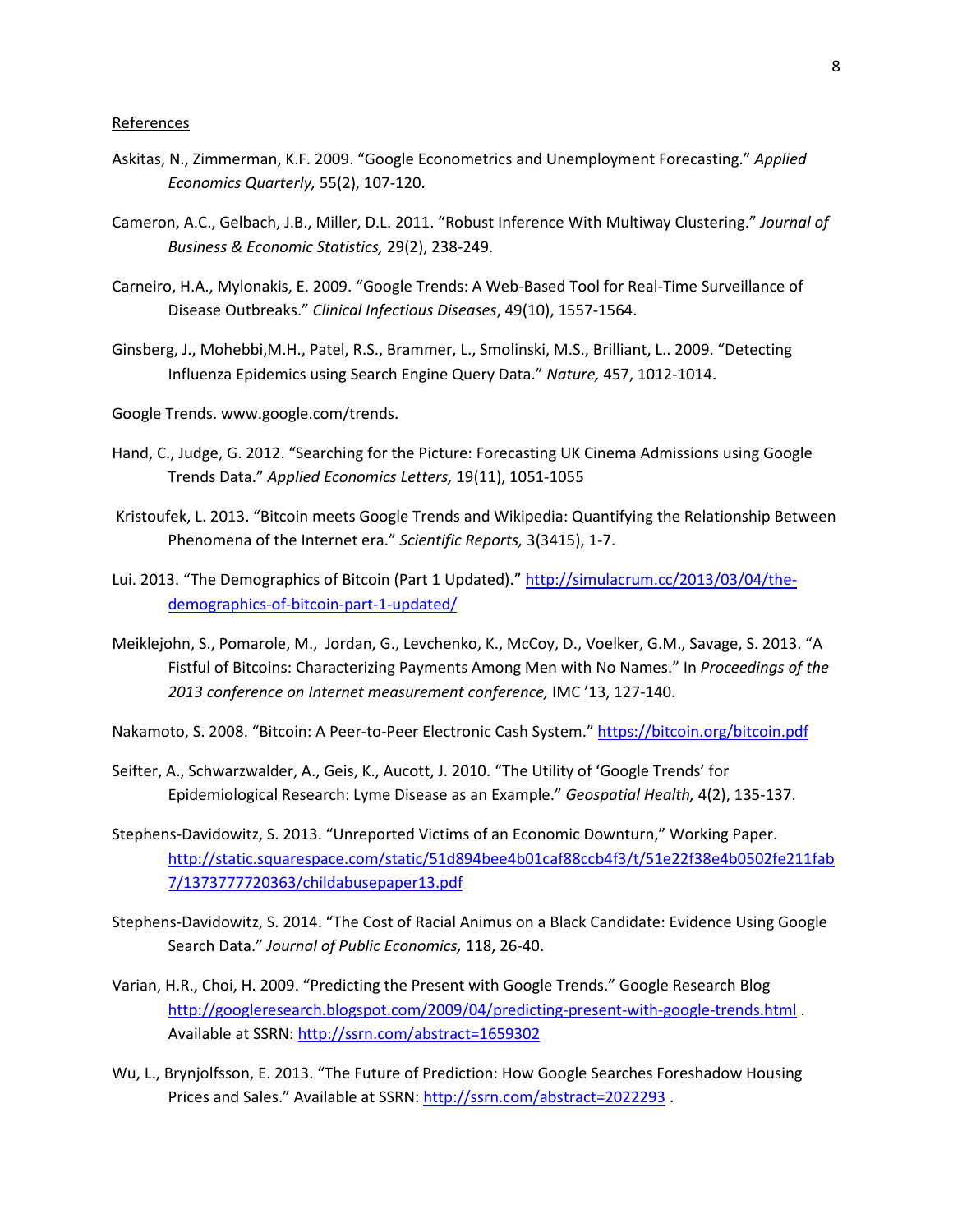#### References

- Askitas, N., Zimmerman, K.F. 2009. "Google Econometrics and Unemployment Forecasting." *Applied Economics Quarterly,* 55(2), 107-120.
- Cameron, A.C., Gelbach, J.B., Miller, D.L. 2011. "Robust Inference With Multiway Clustering." *Journal of Business & Economic Statistics,* 29(2), 238-249.
- Carneiro, H.A., Mylonakis, E. 2009. "Google Trends: A Web-Based Tool for Real-Time Surveillance of Disease Outbreaks." *Clinical Infectious Diseases*, 49(10), 1557-1564.
- Ginsberg, J., Mohebbi,M.H., Patel, R.S., Brammer, L., Smolinski, M.S., Brilliant, L.. 2009. "Detecting Influenza Epidemics using Search Engine Query Data." *Nature,* 457, 1012-1014.
- Google Trends. www.google.com/trends.
- Hand, C., Judge, G. 2012. "Searching for the Picture: Forecasting UK Cinema Admissions using Google Trends Data." *Applied Economics Letters,* 19(11), 1051-1055
- Kristoufek, L. 2013. "Bitcoin meets Google Trends and Wikipedia: Quantifying the Relationship Between Phenomena of the Internet era." *Scientific Reports,* 3(3415), 1-7.
- Lui. 2013. "The Demographics of Bitcoin (Part 1 Updated)." http://simulacrum.cc/2013/03/04/thedemographics-of-bitcoin-part-1-updated/
- Meiklejohn, S., Pomarole, M., Jordan, G., Levchenko, K., McCoy, D., Voelker, G.M., Savage, S. 2013. "A Fistful of Bitcoins: Characterizing Payments Among Men with No Names." In *Proceedings of the 2013 conference on Internet measurement conference,* IMC '13, 127-140.
- Nakamoto, S. 2008. "Bitcoin: A Peer-to-Peer Electronic Cash System." https://bitcoin.org/bitcoin.pdf
- Seifter, A., Schwarzwalder, A., Geis, K., Aucott, J. 2010. "The Utility of 'Google Trends' for Epidemiological Research: Lyme Disease as an Example." *Geospatial Health,* 4(2), 135-137.
- Stephens-Davidowitz, S. 2013. "Unreported Victims of an Economic Downturn," Working Paper. http://static.squarespace.com/static/51d894bee4b01caf88ccb4f3/t/51e22f38e4b0502fe211fab 7/1373777720363/childabusepaper13.pdf
- Stephens-Davidowitz, S. 2014. "The Cost of Racial Animus on a Black Candidate: Evidence Using Google Search Data." *Journal of Public Economics,* 118, 26-40.
- Varian, H.R., Choi, H. 2009. "Predicting the Present with Google Trends." Google Research Blog http://googleresearch.blogspot.com/2009/04/predicting-present-with-google-trends.html . Available at SSRN: http://ssrn.com/abstract=1659302
- Wu, L., Brynjolfsson, E. 2013. "The Future of Prediction: How Google Searches Foreshadow Housing Prices and Sales." Available at SSRN: http://ssrn.com/abstract=2022293 .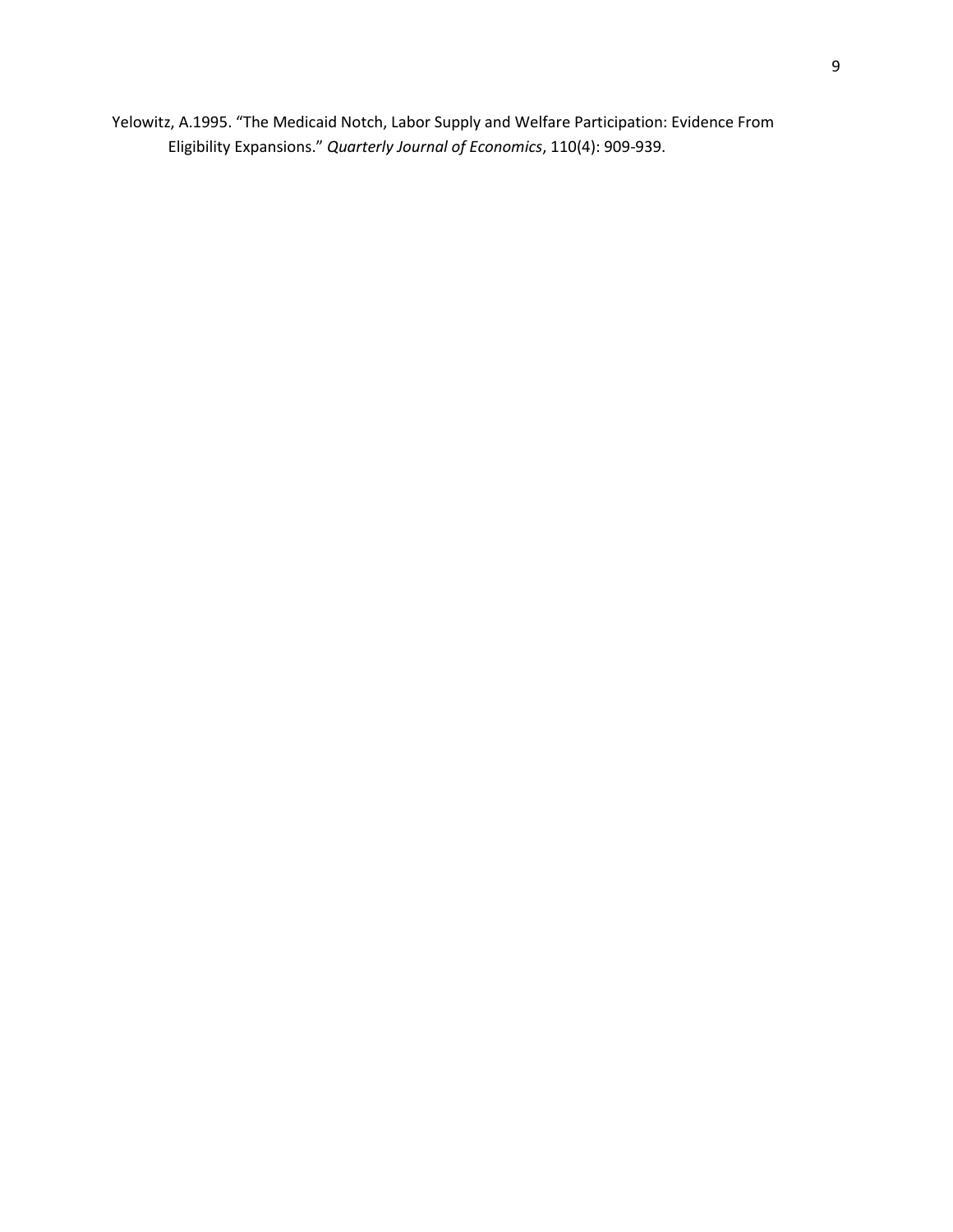Yelowitz, A.1995. "The Medicaid Notch, Labor Supply and Welfare Participation: Evidence From Eligibility Expansions." *Quarterly Journal of Economics*, 110(4): 909-939.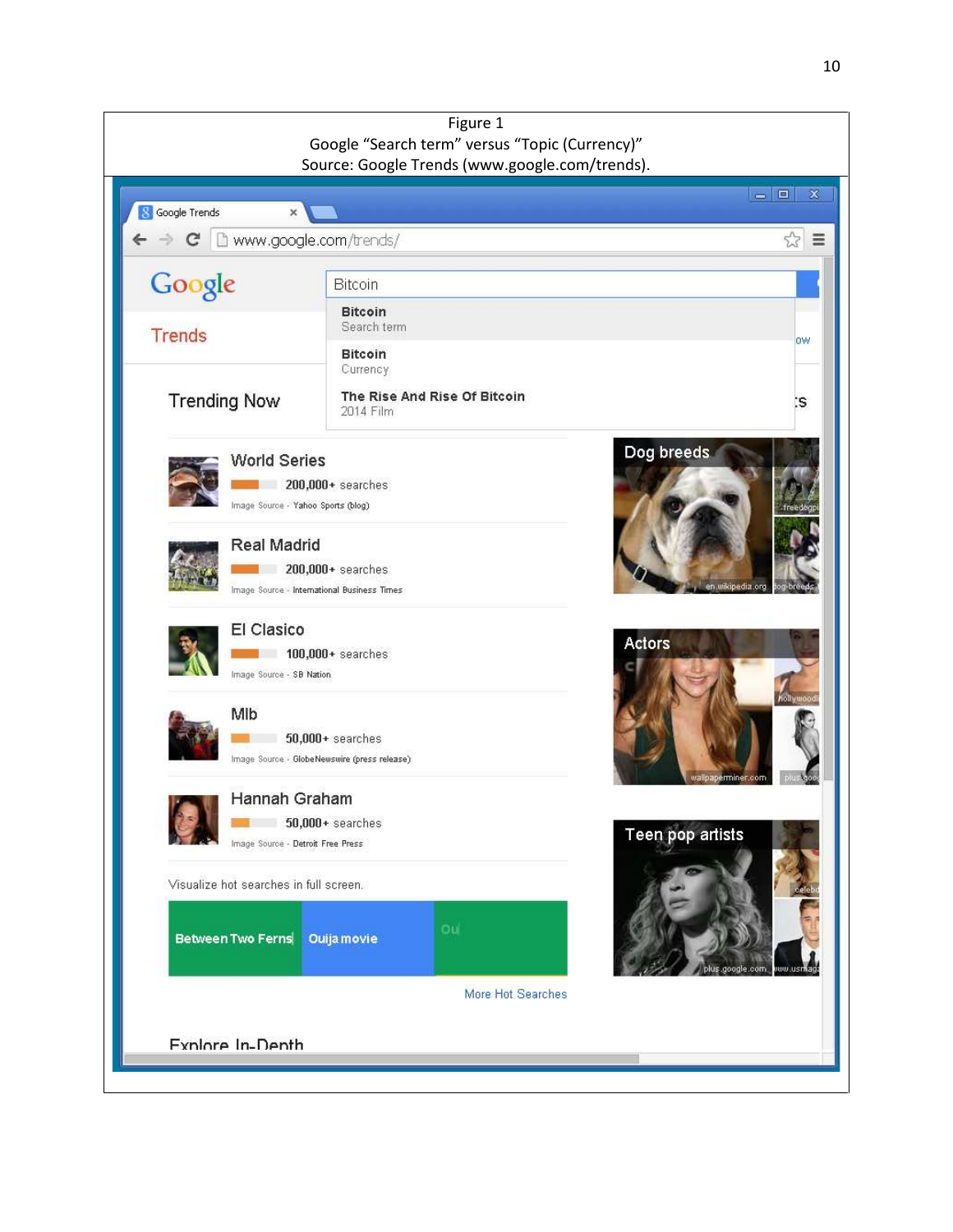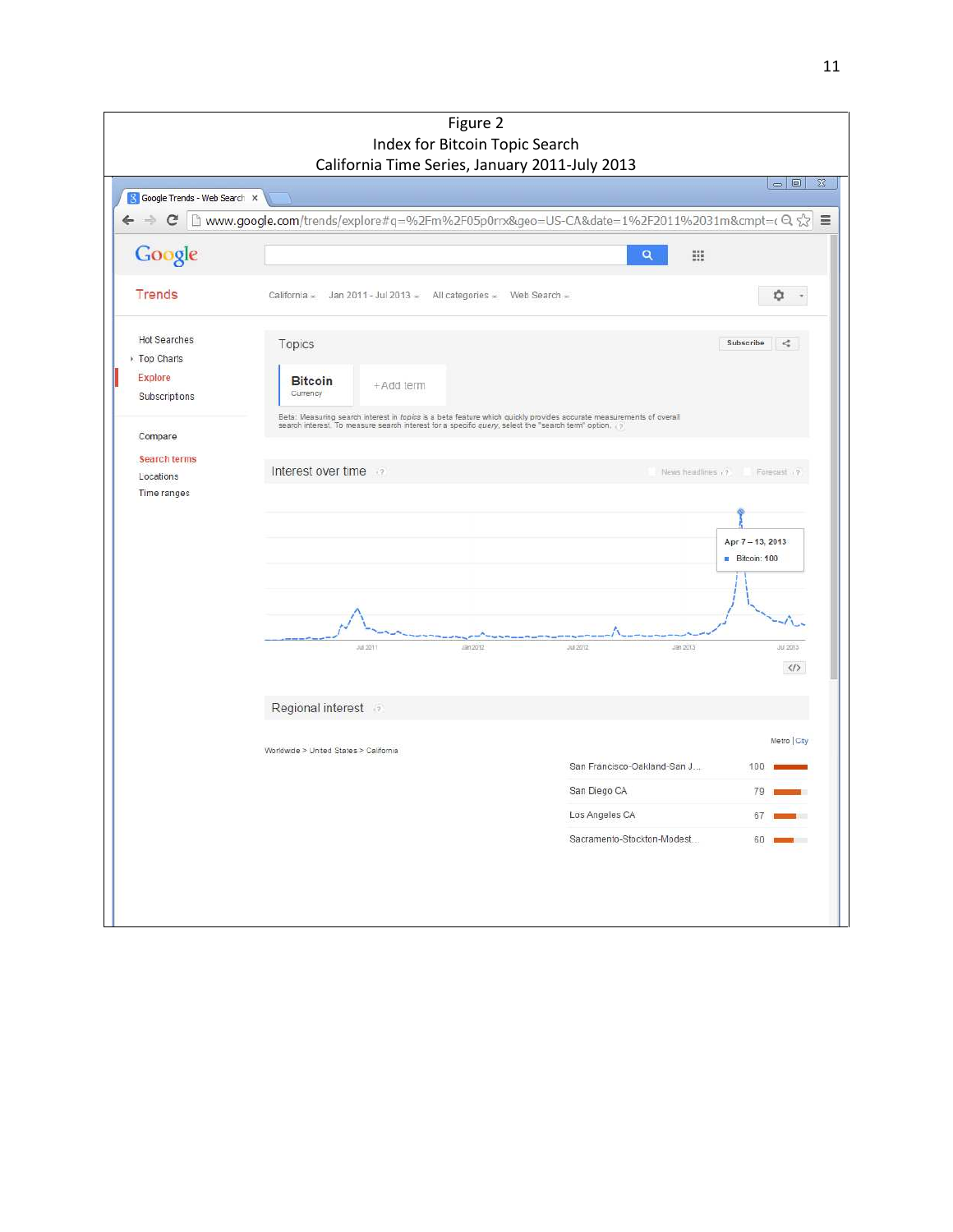|                                          | Index for Bitcoin Topic Search<br>California Time Series, January 2011-July 2013                                                                                                                                                      |                             |                                         |
|------------------------------------------|---------------------------------------------------------------------------------------------------------------------------------------------------------------------------------------------------------------------------------------|-----------------------------|-----------------------------------------|
| 8 Google Trends - Web Search X           |                                                                                                                                                                                                                                       |                             | $\Box$ $\Box$                           |
| C                                        | □ www.google.com/trends/explore#q=%2Fm%2F05p0rrx&geo=US-CA&date=1%2F2011%2031m&cmpt=←Q ☆ 三                                                                                                                                            |                             |                                         |
| Google                                   |                                                                                                                                                                                                                                       | Q<br>$\mathbb{H}^*$         |                                         |
| <b>Trends</b>                            | California $=$<br>Jan 2011 - Jul 2013 $\pm$ All categories $\pm$                                                                                                                                                                      | Web Search $=$              | a                                       |
| Hot Searches<br>▶ Top Charts             | Topics                                                                                                                                                                                                                                |                             | Subscribe<br>K                          |
| Explore<br>Subscriptions                 | <b>Bitcoin</b><br>+Add term<br>Currency                                                                                                                                                                                               |                             |                                         |
| Compare                                  | Beta: Measuring search interest in <i>topics</i> is a beta feature which quickly provides accurate measurements of overall<br>search interest. To measure search interest for a specific query, select the "search term" option, (ii) |                             |                                         |
| Search terms<br>Locations<br>Time ranges | Interest over time                                                                                                                                                                                                                    | News headlines (?)          | Forecast 17                             |
|                                          |                                                                                                                                                                                                                                       |                             | Apr 7-13, 2013<br><b>Bitcoin: 100</b>   |
|                                          |                                                                                                                                                                                                                                       |                             |                                         |
|                                          | Jan 2012<br>34,2011                                                                                                                                                                                                                   | Jul 2012<br>Jan 2013        | Jul 2013<br>$\langle f \rangle$         |
|                                          | Regional interest                                                                                                                                                                                                                     |                             |                                         |
|                                          | Worldwide > United States > California                                                                                                                                                                                                | San Francisco-Oakland-San J | Metro City<br>100                       |
|                                          |                                                                                                                                                                                                                                       | San Diego CA                | 79                                      |
|                                          |                                                                                                                                                                                                                                       | Los Angeles CA              | 67<br><b>Contract Contract Contract</b> |
|                                          |                                                                                                                                                                                                                                       | Sacramento-Stockton-Modest  | 60<br>m                                 |
|                                          |                                                                                                                                                                                                                                       |                             |                                         |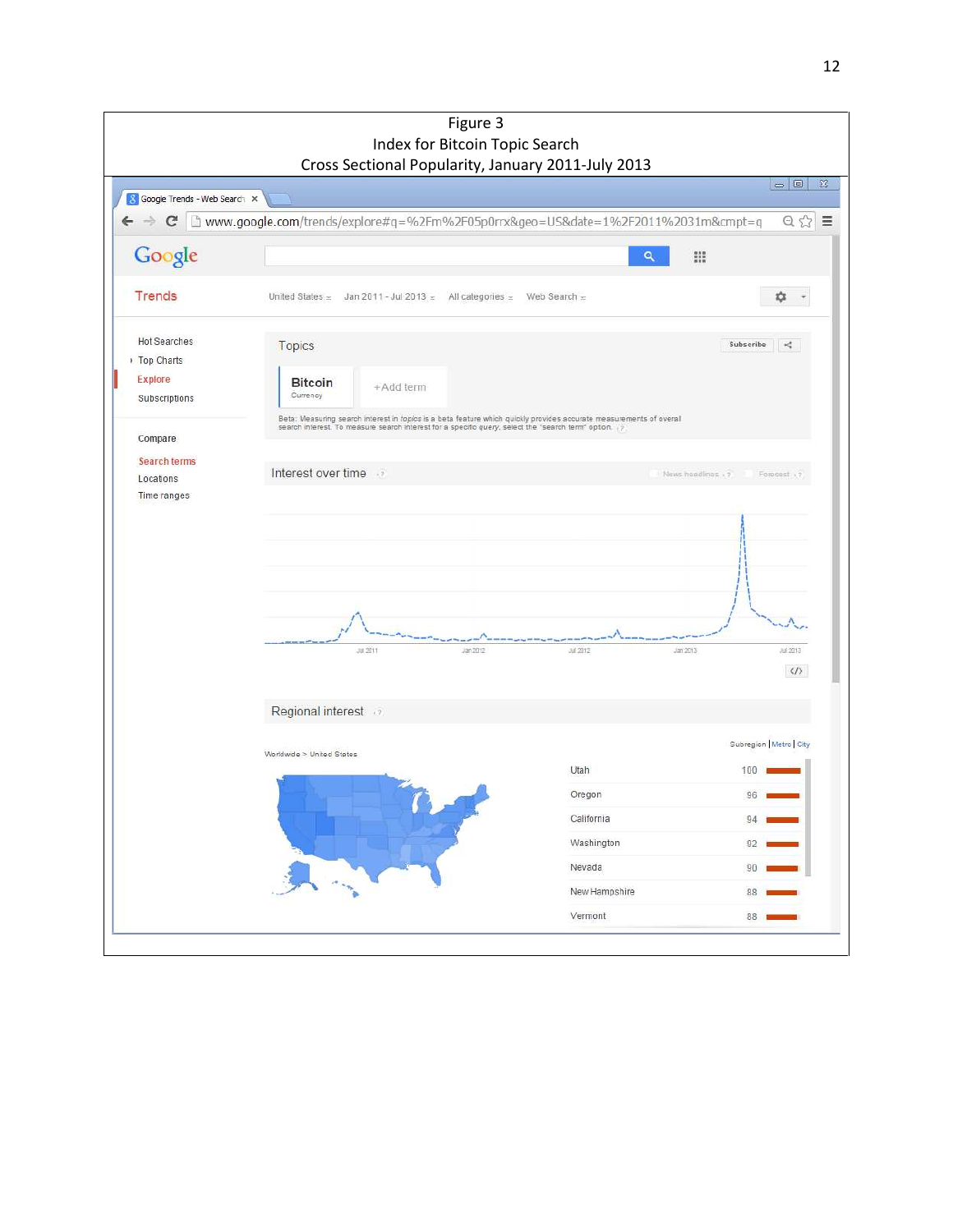|                                                                 | Index for Bitcoin Topic Search<br>Cross Sectional Popularity, January 2011-July 2013                                                                                                                                                                          |                |                                      |
|-----------------------------------------------------------------|---------------------------------------------------------------------------------------------------------------------------------------------------------------------------------------------------------------------------------------------------------------|----------------|--------------------------------------|
| <b>Soogle Trends - Web Search X</b>                             |                                                                                                                                                                                                                                                               |                | $\Box$ $\Box$                        |
| C                                                               | mww.google.com/trends/explore#q=%2Fm%2F05p0rrx&geo=US&date=1%2F2011%2031m&cmpt=q                                                                                                                                                                              |                | $Q \gg$                              |
| Google                                                          |                                                                                                                                                                                                                                                               | Q              | m                                    |
| <b>Trends</b>                                                   | United States $=$<br>Jan 2011 - Jul 2013 $\approx$ All categories $\approx$                                                                                                                                                                                   | Web Search $=$ | o                                    |
| <b>Hot Searches</b><br>▶ Top Charts<br>Explore<br>Subscriptions | Topics<br><b>Bitcoin</b><br>+Add term<br>Currency                                                                                                                                                                                                             |                | Subscribe<br>×,                      |
| Compare<br>Search terms<br>Locations<br>Time ranges             | Beta: Measuring search interest in topics is a beta feature which quickly provides accurate measurements of overall<br>search interest. To measure search interest for a specific query, select the "search term" option, $\frac{1}{2}$<br>Interest over time |                | News headlines 17<br>Forecast x7     |
|                                                                 |                                                                                                                                                                                                                                                               |                |                                      |
|                                                                 | Jan 2012<br>JUE 2011                                                                                                                                                                                                                                          | Jul 2012       | Jan 2013<br>Jul 2013<br>$\langle$ /> |
|                                                                 | Regional interest                                                                                                                                                                                                                                             |                |                                      |
|                                                                 | Worldwide > United States                                                                                                                                                                                                                                     | Utah           | Subregion   Metro   City<br>100      |
|                                                                 |                                                                                                                                                                                                                                                               | Oregon         | 96                                   |
|                                                                 |                                                                                                                                                                                                                                                               | California     | 94                                   |
|                                                                 |                                                                                                                                                                                                                                                               | Washington     | 92                                   |
|                                                                 |                                                                                                                                                                                                                                                               | Nevada         | 90                                   |
|                                                                 |                                                                                                                                                                                                                                                               | New Hampshire  | 88                                   |
|                                                                 |                                                                                                                                                                                                                                                               | Vermont        | 88                                   |